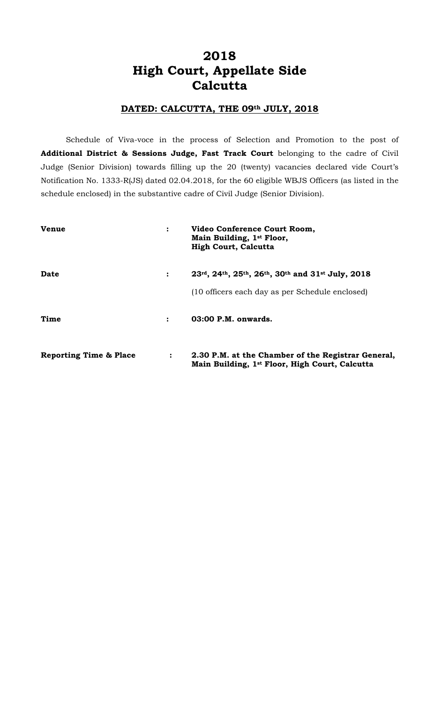# **2018 High Court, Appellate Side Calcutta**

#### **DATED: CALCUTTA, THE 09th JULY, 2018**

Schedule of Viva-voce in the process of Selection and Promotion to the post of **Additional District & Sessions Judge, Fast Track Court** belonging to the cadre of Civil Judge (Senior Division) towards filling up the 20 (twenty) vacancies declared vide Court's Notification No. 1333-R(JS) dated 02.04.2018, for the 60 eligible WBJS Officers (as listed in the schedule enclosed) in the substantive cadre of Civil Judge (Senior Division).

| <b>Venue</b>                      | $\ddot{\cdot}$       | Video Conference Court Room,<br>Main Building, 1st Floor,<br><b>High Court, Calcutta</b>             |
|-----------------------------------|----------------------|------------------------------------------------------------------------------------------------------|
| Date                              | $\ddot{\cdot}$       | 23rd, 24th, 25th, 26th, 30th and 31st July, 2018                                                     |
|                                   |                      | (10 officers each day as per Schedule enclosed)                                                      |
| Time                              | $\ddot{\phantom{a}}$ | 03:00 P.M. onwards.                                                                                  |
| <b>Reporting Time &amp; Place</b> | $\ddot{\cdot}$       | 2.30 P.M. at the Chamber of the Registrar General,<br>Main Building, 1st Floor, High Court, Calcutta |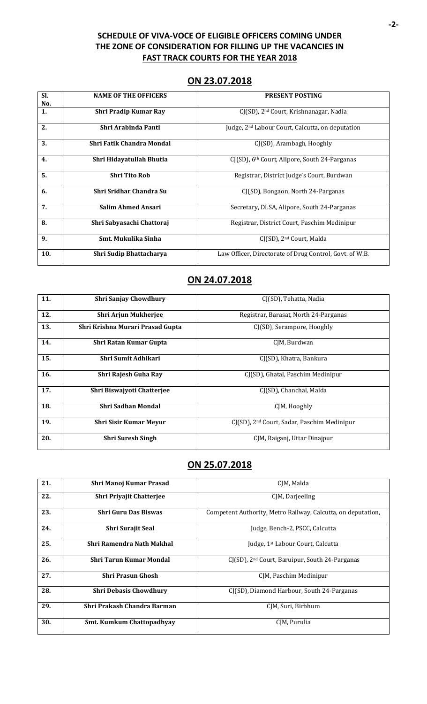#### **SCHEDULE OF VIVA-VOCE OF ELIGIBLE OFFICERS COMING UNDER THE ZONE OF CONSIDERATION FOR FILLING UP THE VACANCIES IN FAST TRACK COURTS FOR THE YEAR 2018**

#### **ON 23.07.2018**

| Sl. | <b>NAME OF THE OFFICERS</b>  | <b>PRESENT POSTING</b>                                       |
|-----|------------------------------|--------------------------------------------------------------|
| No. |                              |                                                              |
| 1.  | <b>Shri Pradip Kumar Ray</b> | $CJ(SD)$ , 2 <sup>nd</sup> Court, Krishnanagar, Nadia        |
| 2.  | Shri Arabinda Panti          | Judge, 2 <sup>nd</sup> Labour Court, Calcutta, on deputation |
| 3.  | Shri Fatik Chandra Mondal    | CJ(SD), Arambagh, Hooghly                                    |
| 4.  | Shri Hidayatullah Bhutia     | CJ(SD), 6 <sup>th</sup> Court, Alipore, South 24-Parganas    |
| 5.  | <b>Shri Tito Rob</b>         | Registrar, District Judge's Court, Burdwan                   |
| 6.  | Shri Sridhar Chandra Su      | CJ(SD), Bongaon, North 24-Parganas                           |
| 7.  | <b>Salim Ahmed Ansari</b>    | Secretary, DLSA, Alipore, South 24-Parganas                  |
| 8.  | Shri Sabyasachi Chattoraj    | Registrar, District Court, Paschim Medinipur                 |
| 9.  | Smt. Mukulika Sinha          | CJ(SD), 2 <sup>nd</sup> Court, Malda                         |
| 10. | Shri Sudip Bhattacharya      | Law Officer, Directorate of Drug Control, Govt. of W.B.      |

# **ON 24.07.2018**

| 11. | <b>Shri Sanjay Chowdhury</b>     | CJ(SD), Tehatta, Nadia                                  |
|-----|----------------------------------|---------------------------------------------------------|
| 12. | <b>Shri Arjun Mukherjee</b>      | Registrar, Barasat, North 24-Parganas                   |
| 13. | Shri Krishna Murari Prasad Gupta | CJ(SD), Serampore, Hooghly                              |
| 14. | Shri Ratan Kumar Gupta           | CIM, Burdwan                                            |
| 15. | Shri Sumit Adhikari              | CJ(SD), Khatra, Bankura                                 |
| 16. | Shri Rajesh Guha Ray             | CJ(SD), Ghatal, Paschim Medinipur                       |
| 17. | Shri Biswajyoti Chatterjee       | CJ(SD), Chanchal, Malda                                 |
| 18. | Shri Sadhan Mondal               | CJM, Hooghly                                            |
| 19. | <b>Shri Sisir Kumar Meyur</b>    | CJ(SD), 2 <sup>nd</sup> Court, Sadar, Paschim Medinipur |
| 20. | <b>Shri Suresh Singh</b>         | CJM, Raiganj, Uttar Dinajpur                            |

### **ON 25.07.2018**

| 21. | Shri Manoj Kumar Prasad          | CJM, Malda                                                    |
|-----|----------------------------------|---------------------------------------------------------------|
| 22. | <b>Shri Priyajit Chatterjee</b>  | CJM, Darjeeling                                               |
| 23. | <b>Shri Guru Das Biswas</b>      | Competent Authority, Metro Railway, Calcutta, on deputation,  |
| 24. | Shri Surajit Seal                | Judge, Bench-2, PSCC, Calcutta                                |
| 25. | Shri Ramendra Nath Makhal        | Judge, 1 <sup>st</sup> Labour Court, Calcutta                 |
| 26. | Shri Tarun Kumar Mondal          | $C1(SD)$ , 2 <sup>nd</sup> Court, Baruipur, South 24-Parganas |
| 27. | <b>Shri Prasun Ghosh</b>         | CJM, Paschim Medinipur                                        |
| 28. | <b>Shri Debasis Chowdhury</b>    | CI(SD), Diamond Harbour, South 24-Parganas                    |
| 29. | Shri Prakash Chandra Barman      | CJM, Suri, Birbhum                                            |
| 30. | <b>Smt. Kumkum Chattopadhyay</b> | CJM, Purulia                                                  |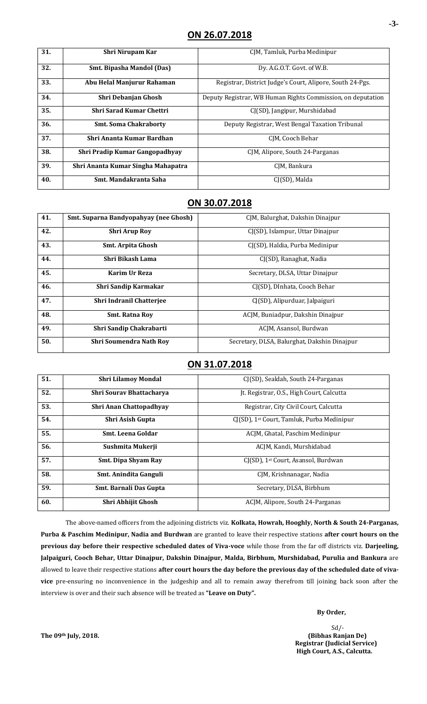| 31. | Shri Nirupam Kar                   | CJM, Tamluk, Purba Medinipur                                |
|-----|------------------------------------|-------------------------------------------------------------|
| 32. | <b>Smt. Bipasha Mandol (Das)</b>   | Dy. A.G.O.T. Govt. of W.B.                                  |
| 33. | Abu Helal Manjurur Rahaman         | Registrar, District Judge's Court, Alipore, South 24-Pgs.   |
| 34. | <b>Shri Debanjan Ghosh</b>         | Deputy Registrar, WB Human Rights Commission, on deputation |
| 35. | <b>Shri Sarad Kumar Chettri</b>    | CJ(SD), Jangipur, Murshidabad                               |
| 36. | <b>Smt. Soma Chakraborty</b>       | Deputy Registrar, West Bengal Taxation Tribunal             |
| 37. | Shri Ananta Kumar Bardhan          | CIM, Cooch Behar                                            |
| 38. | Shri Pradip Kumar Gangopadhyay     | CJM, Alipore, South 24-Parganas                             |
| 39. | Shri Ananta Kumar Singha Mahapatra | CIM, Bankura                                                |
| 40. | Smt. Mandakranta Saha              | CI(SD), Malda                                               |

### **ON 30.07.2018**

| 41. | Smt. Suparna Bandyopahyay (nee Ghosh) | CIM, Balurghat, Dakshin Dinajpur             |
|-----|---------------------------------------|----------------------------------------------|
| 42. | <b>Shri Arup Roy</b>                  | CI(SD), Islampur, Uttar Dinajpur             |
| 43. | Smt. Arpita Ghosh                     | CI(SD), Haldia, Purba Medinipur              |
| 44. | Shri Bikash Lama                      | CJ(SD), Ranaghat, Nadia                      |
| 45. | Karim Ur Reza                         | Secretary, DLSA, Uttar Dinajpur              |
| 46. | <b>Shri Sandip Karmakar</b>           | CJ(SD), DInhata, Cooch Behar                 |
| 47. | <b>Shri Indranil Chatterjee</b>       | CJ(SD), Alipurduar, Jalpaiguri               |
| 48. | <b>Smt. Ratna Rov</b>                 | ACIM, Buniadpur, Dakshin Dinajpur            |
| 49. | Shri Sandip Chakrabarti               | ACJM, Asansol, Burdwan                       |
| 50. | <b>Shri Soumendra Nath Roy</b>        | Secretary, DLSA, Balurghat, Dakshin Dinajpur |

### **ON 31.07.2018**

| 51. | <b>Shri Lilamoy Mondal</b>   | CI(SD), Sealdah, South 24-Parganas                     |
|-----|------------------------------|--------------------------------------------------------|
| 52. | Shri Sourav Bhattacharya     | Jt. Registrar, O.S., High Court, Calcutta              |
| 53. | Shri Anan Chattopadhyay      | Registrar, City Civil Court, Calcutta                  |
| 54. | <b>Shri Asish Gupta</b>      | CI(SD), 1 <sup>st</sup> Court, Tamluk, Purba Medinipur |
| 55. | Smt. Leena Goldar            | ACIM, Ghatal, Paschim Medinipur                        |
| 56. | Sushmita Mukerji             | ACJM, Kandi, Murshidabad                               |
| 57. | <b>Smt. Dipa Shyam Ray</b>   | CJ(SD), 1st Court, Asansol, Burdwan                    |
| 58. | <b>Smt. Anindita Ganguli</b> | CJM, Krishnanagar, Nadia                               |
| 59. | Smt. Barnali Das Gupta       | Secretary, DLSA, Birbhum                               |
| 60. | Shri Abhijit Ghosh           | ACIM, Alipore, South 24-Parganas                       |

The above-named officers from the adjoining districts viz. **Kolkata, Howrah, Hooghly, North & South 24-Parganas, Purba & Paschim Medinipur, Nadia and Burdwan** are granted to leave their respective stations **after court hours on the previous day before their respective scheduled dates of Viva-voce** while those from the far off districts viz. **Darjeeling, Jalpaiguri, Cooch Behar, Uttar Dinajpur, Dakshin Dinajpur, Malda, Birbhum, Murshidabad, Purulia and Bankura** are allowed to leave their respective stations **after court hours the day before the previous day of the scheduled date of vivavice** pre-ensuring no inconvenience in the judgeship and all to remain away therefrom till joining back soon after the interview is over and their such absence will be treated as **"Leave on Duty".**

**-3-**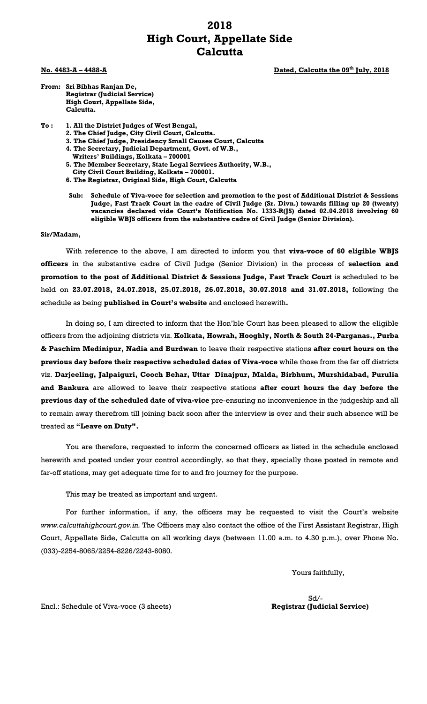## **2018 High Court, Appellate Side Calcutta**

**No. 4483-A – 4488-A Dated, Calcutta the 09 th July, 2018**

- **From: Sri Bibhas Ranjan De, Registrar (Judicial Service) High Court, Appellate Side, Calcutta.**
- **To : 1. All the District Judges of West Bengal,**
	- **2. The Chief Judge, City Civil Court, Calcutta.**
	- **3. The Chief Judge, Presidency Small Causes Court, Calcutta**
	- **4. The Secretary, Judicial Department, Govt. of W.B.,** 
		- **Writers' Buildings, Kolkata – 700001**
	- **5. The Member Secretary, State Legal Services Authority, W.B.,**
	- **City Civil Court Building, Kolkata – 700001.**
	- **6. The Registrar, Original Side, High Court, Calcutta**
	- **Sub: Schedule of Viva-voce for selection and promotion to the post of Additional District & Sessions Judge, Fast Track Court in the cadre of Civil Judge (Sr. Divn.) towards filling up 20 (twenty) vacancies declared vide Court's Notification No. 1333-R(JS) dated 02.04.2018 involving 60 eligible WBJS officers from the substantive cadre of Civil Judge (Senior Division).**

#### **Sir/Madam,**

With reference to the above, I am directed to inform you that **viva-voce of 60 eligible WBJS officers** in the substantive cadre of Civil Judge (Senior Division) in the process of **selection and promotion to the post of Additional District & Sessions Judge, Fast Track Court** is scheduled to be held on **23.07.2018, 24.07.2018, 25.07.2018, 26.07.2018, 30.07.2018 and 31.07.2018,** following the schedule as being **published in Court's website** and enclosed herewith**.**

In doing so, I am directed to inform that the Hon'ble Court has been pleased to allow the eligible officers from the adjoining districts viz. **Kolkata, Howrah, Hooghly, North & South 24-Parganas., Purba & Paschim Medinipur, Nadia and Burdwan** to leave their respective stations **after court hours on the previous day before their respective scheduled dates of Viva-voce** while those from the far off districts viz. **Darjeeling, Jalpaiguri, Cooch Behar, Uttar Dinajpur, Malda, Birbhum, Murshidabad, Purulia and Bankura** are allowed to leave their respective stations **after court hours the day before the previous day of the scheduled date of viva-vice** pre-ensuring no inconvenience in the judgeship and all to remain away therefrom till joining back soon after the interview is over and their such absence will be treated as **"Leave on Duty".**

You are therefore, requested to inform the concerned officers as listed in the schedule enclosed herewith and posted under your control accordingly, so that they, specially those posted in remote and far-off stations, may get adequate time for to and fro journey for the purpose.

This may be treated as important and urgent.

For further information, if any, the officers may be requested to visit the Court's website *www.calcuttahighcourt.gov.in.* The Officers may also contact the office of the First Assistant Registrar, High Court, Appellate Side, Calcutta on all working days (between 11.00 a.m. to 4.30 p.m.), over Phone No. (033)-2254-8065/2254-8226/2243-6080.

Yours faithfully,

Sd/-

Encl.: Schedule of Viva-voce (3 sheets) **Registrar (Judicial Service)**